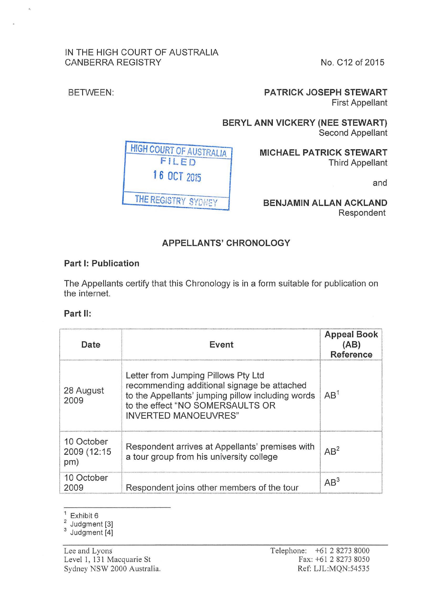### IN THE HIGH COURT OF AUSTRALIA CANBERRA REGISTRY No. C12 of 2015

 $\overline{a}$ 

BETWEEN: **PATRICK JOSEPH STEWART**  First Appellant

> **BERYL ANN VICKERY (NEE STEWART)**  Second Appellant

> > **MICHAEL PATRICK STEWART**  Third Appellant

> > > and

**BENJAMIN ALLAN ACKLAND**  Respondent

# **APPELLANTS' CHRONOLOGY**

## **Part 1: Publication**

The Appellants certify that this Chronology is in a form suitable for publication on the internet.

## **Part** II:

| Date                             | Event                                                                                                                                                                                                      | <b>Appeal Book</b><br>(AB)<br><b>Reference</b> |
|----------------------------------|------------------------------------------------------------------------------------------------------------------------------------------------------------------------------------------------------------|------------------------------------------------|
| 28 August<br>2009                | Letter from Jumping Pillows Pty Ltd<br>recommending additional signage be attached<br>to the Appellants' jumping pillow including words<br>to the effect "NO SOMERSAULTS OR<br><b>INVERTED MANOEUVRES"</b> | AB <sup>1</sup>                                |
| 10 October<br>2009 (12:15<br>pm) | Respondent arrives at Appellants' premises with<br>a tour group from his university college                                                                                                                | $AB^2$                                         |
| 10 October<br>2009               | Respondent joins other members of the tour                                                                                                                                                                 | $AB^3$                                         |

 $1$  Exhibit 6

 $\frac{2}{3}$  Judgment [3]<br> $\frac{3}{3}$  Judgment [4]

Lee and Lyons Level 1, 131 Macquarie St Sydney NSW 2000 Australia.